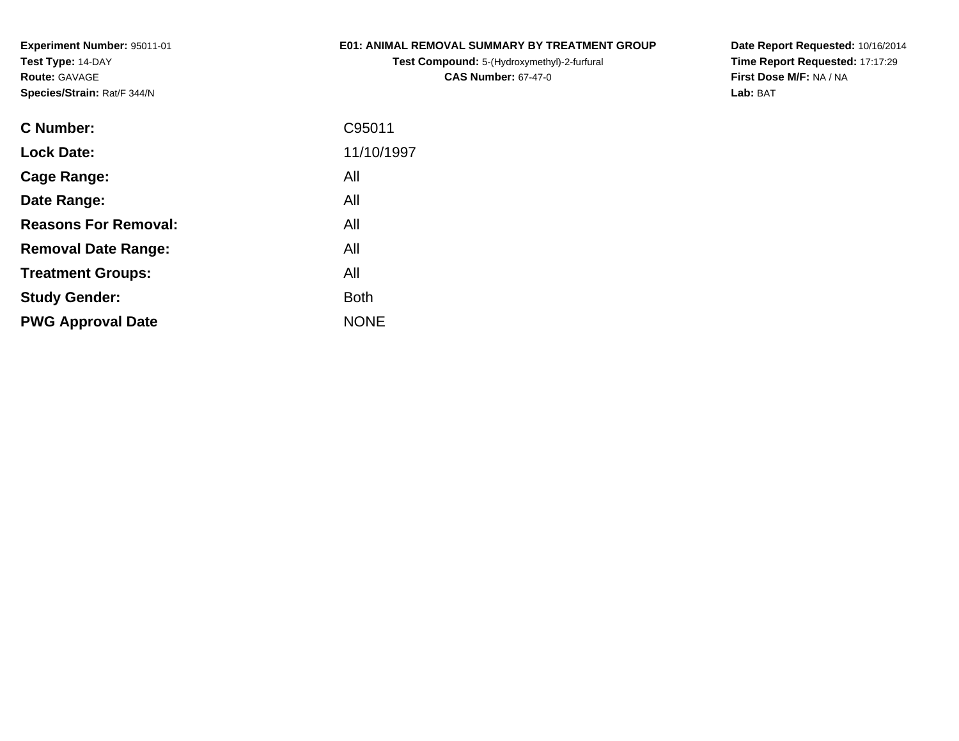#### **E01: ANIMAL REMOVAL SUMMARY BY TREATMENT GROUP**

**Test Compound:** 5-(Hydroxymethyl)-2-furfural **CAS Number:** 67-47-0

**Date Report Requested:** 10/16/2014 **Time Report Requested:** 17:17:29**First Dose M/F:** NA / NA**Lab:** BAT

| <b>Lock Date:</b><br>All<br>Cage Range:<br>All<br>Date Range:<br><b>Reasons For Removal:</b><br>All<br>All<br><b>Removal Date Range:</b><br>All<br><b>Treatment Groups:</b><br><b>Both</b><br><b>Study Gender:</b><br><b>NONE</b><br><b>PWG Approval Date</b> | <b>C</b> Number: | C95011     |
|---------------------------------------------------------------------------------------------------------------------------------------------------------------------------------------------------------------------------------------------------------------|------------------|------------|
|                                                                                                                                                                                                                                                               |                  | 11/10/1997 |
|                                                                                                                                                                                                                                                               |                  |            |
|                                                                                                                                                                                                                                                               |                  |            |
|                                                                                                                                                                                                                                                               |                  |            |
|                                                                                                                                                                                                                                                               |                  |            |
|                                                                                                                                                                                                                                                               |                  |            |
|                                                                                                                                                                                                                                                               |                  |            |
|                                                                                                                                                                                                                                                               |                  |            |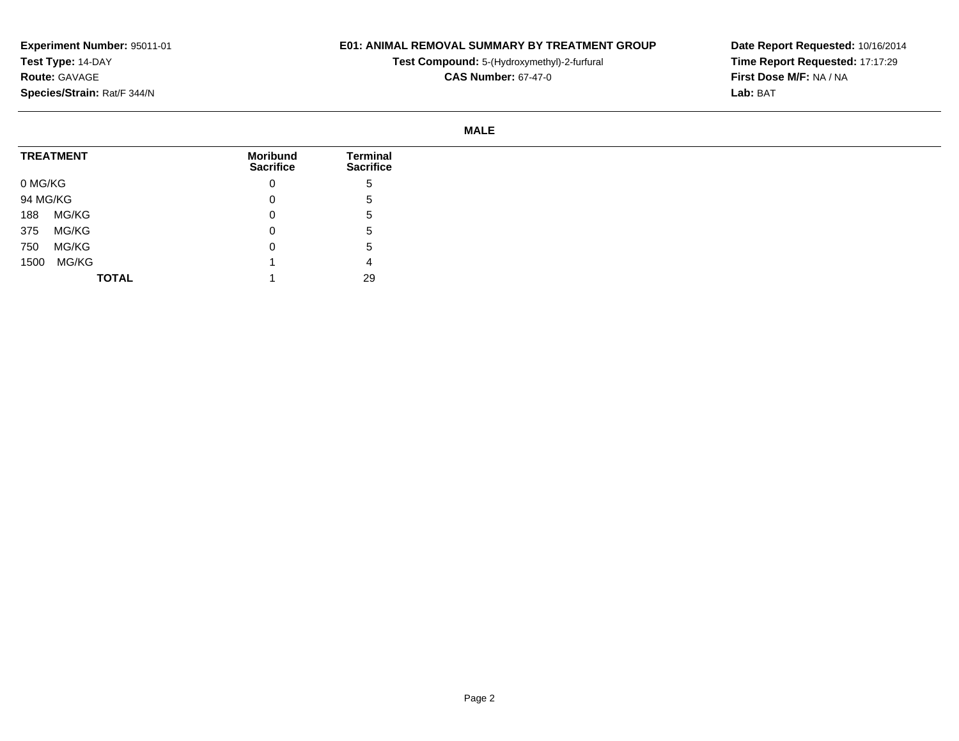## **E01: ANIMAL REMOVAL SUMMARY BY TREATMENT GROUP**

**Test Compound:** 5-(Hydroxymethyl)-2-furfural

**CAS Number:** 67-47-0

**Date Report Requested:** 10/16/2014 **Time Report Requested:** 17:17:29**First Dose M/F:** NA / NA**Lab:** BAT

#### **MALE**

|         | <b>TREATMENT</b> | <b>Moribund</b><br><b>Sacrifice</b> | Terminal<br><b>Sacrifice</b> |
|---------|------------------|-------------------------------------|------------------------------|
| 0 MG/KG |                  | 0                                   | <sub>5</sub>                 |
|         | 94 MG/KG         | 0                                   | <sub>5</sub>                 |
| 188     | MG/KG            | 0                                   | <sub>5</sub>                 |
| 375     | MG/KG            | 0                                   | <sub>5</sub>                 |
| 750     | MG/KG            | 0                                   | $\mathbf{p}$                 |
| 1500    | MG/KG            |                                     | 4                            |
|         | <b>TOTAL</b>     |                                     | 29                           |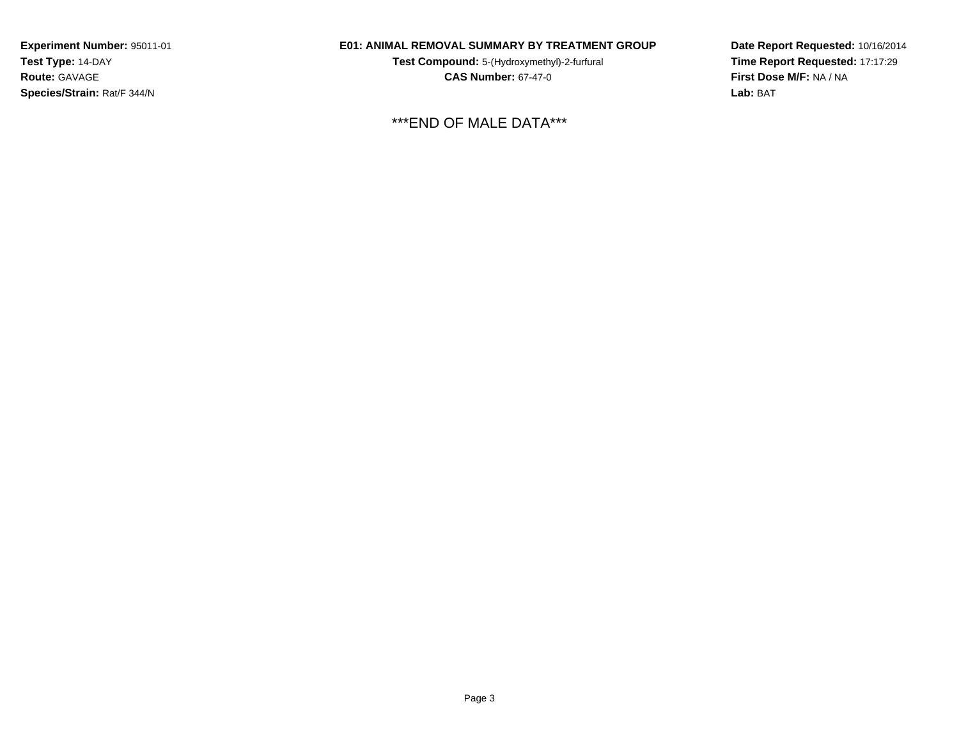## **E01: ANIMAL REMOVAL SUMMARY BY TREATMENT GROUP**

**Test Compound:** 5-(Hydroxymethyl)-2-furfural **CAS Number:** 67-47-0

\*\*\*END OF MALE DATA\*\*\*

**Date Report Requested:** 10/16/2014**Time Report Requested:** 17:17:29**First Dose M/F:** NA / NA**Lab:** BAT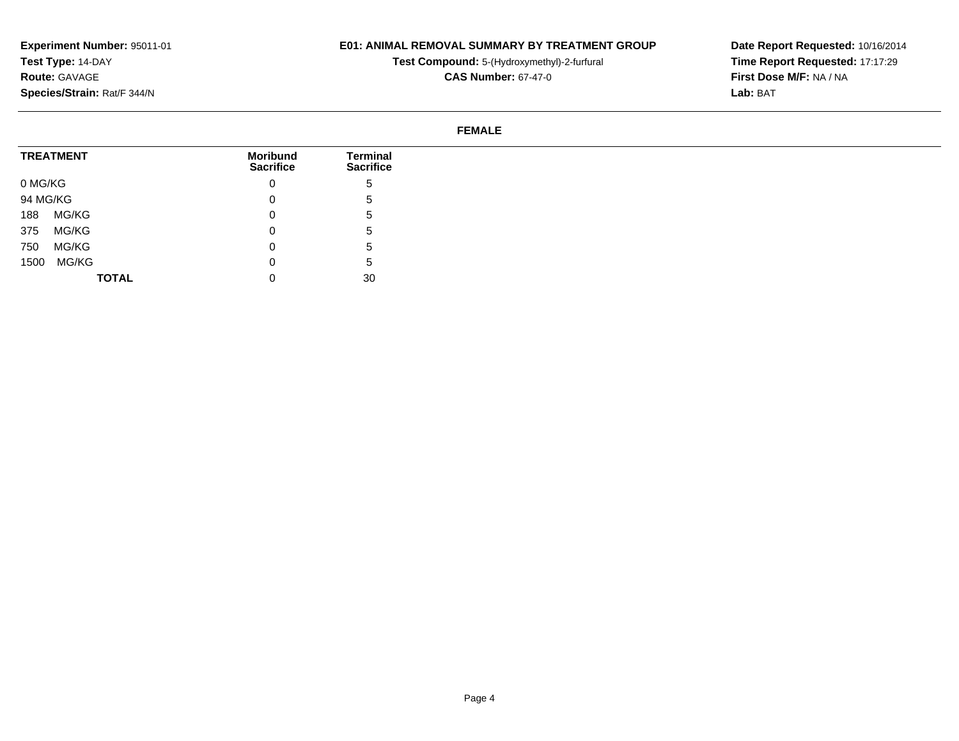## **E01: ANIMAL REMOVAL SUMMARY BY TREATMENT GROUP**

**Test Compound:** 5-(Hydroxymethyl)-2-furfural

**CAS Number:** 67-47-0

**Date Report Requested:** 10/16/2014 **Time Report Requested:** 17:17:29**First Dose M/F:** NA / NA**Lab:** BAT

#### **FEMALE**

| <b>TREATMENT</b> |              | <b>Moribund</b><br><b>Sacrifice</b> | Terminal<br><b>Sacrifice</b> |
|------------------|--------------|-------------------------------------|------------------------------|
|                  |              |                                     |                              |
| 0 MG/KG          |              | 0                                   | đ                            |
| 94 MG/KG         |              | 0                                   | C.                           |
| MG/KG<br>188     |              | 0                                   | G.                           |
| MG/KG<br>375     |              | 0                                   | 5.                           |
| MG/KG<br>750     |              | 0                                   | b.                           |
| MG/KG<br>1500    |              | 0                                   | b.                           |
|                  | <b>TOTAL</b> | 0                                   | 30                           |